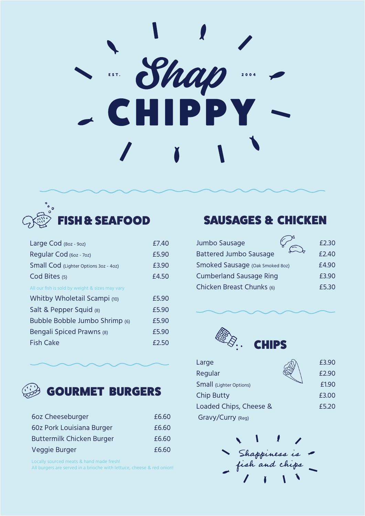# $\frac{1}{\sqrt{2}}$  $2004$ **CHIPPY**



| Large Cod (80z - 90z)                           | £7.40 |
|-------------------------------------------------|-------|
| Regular Cod (60z - 70z)                         | £5.90 |
| Small Cod (Lighter Options 3oz - 4oz)           | £3.90 |
| Cod Bites (5)                                   | £4.50 |
| All our fish is sold by weight & sizes may vary |       |
| Whitby Wholetail Scampi (10)                    | £5.90 |
| Salt & Pepper Squid (8)                         | £5.90 |
| Bubble Bobble Jumbo Shrimp (6)                  | £5.90 |
| Bengali Spiced Prawns (8)                       | £5.90 |
| Fish Cake                                       | £2.50 |
|                                                 |       |



| 6oz Cheeseburger                 | £6.60 |
|----------------------------------|-------|
| 60z Pork Louisiana Burger        | £6.60 |
| <b>Buttermilk Chicken Burger</b> | £6.60 |
| Veggie Burger                    | £6.60 |

Locally sourced meats & hand made fresh!

All burgers are served in a brioche with lettuce, cheese & red onion!

#### SAUSAGES & CHICKEN

| Jumbo Sausage                   | £2.30 |
|---------------------------------|-------|
| <b>Battered Jumbo Sausage</b>   | £2.40 |
| Smoked Sausage (Oak Smoked 8oz) | £4.90 |
| <b>Cumberland Sausage Ring</b>  | £3.90 |
| Chicken Breast Chunks (6)       | £5.30 |



| £3.90 |
|-------|
| £2.90 |
| £1.90 |
| £3.00 |
| £5.20 |
|       |
|       |